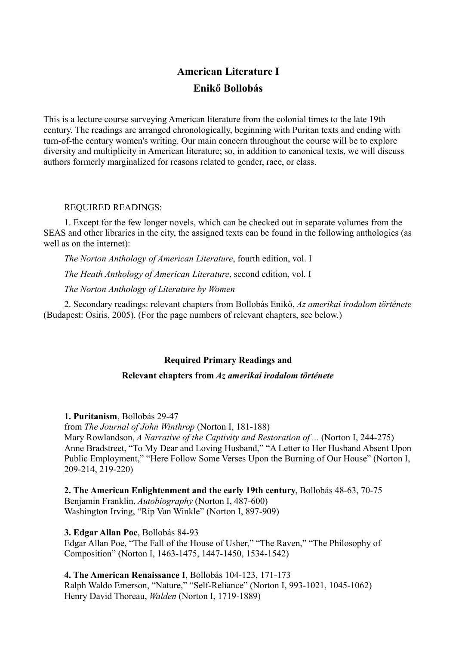# **American Literature I Enikő Bollobás**

This is a lecture course surveying American literature from the colonial times to the late 19th century. The readings are arranged chronologically, beginning with Puritan texts and ending with turn-of-the century women's writing. Our main concern throughout the course will be to explore diversity and multiplicity in American literature; so, in addition to canonical texts, we will discuss authors formerly marginalized for reasons related to gender, race, or class.

#### REQUIRED READINGS:

1. Except for the few longer novels, which can be checked out in separate volumes from the SEAS and other libraries in the city, the assigned texts can be found in the following anthologies (as well as on the internet):

*The Norton Anthology of American Literature*, fourth edition, vol. I

*The Heath Anthology of American Literature*, second edition, vol. I

*The Norton Anthology of Literature by Women*

2. Secondary readings: relevant chapters from Bollobás Enikő, *Az amerikai irodalom története* (Budapest: Osiris, 2005). (For the page numbers of relevant chapters, see below.)

#### **Required Primary Readings and**

#### **Relevant chapters from** *Az amerikai irodalom története*

#### **1. Puritanism**, Bollobás 29-47

from *The Journal of John Winthrop* (Norton I, 181-188)

Mary Rowlandson, *A Narrative of the Captivity and Restoration of ...* (Norton I, 244-275) Anne Bradstreet, "To My Dear and Loving Husband," "A Letter to Her Husband Absent Upon Public Employment," "Here Follow Some Verses Upon the Burning of Our House" (Norton I, 209-214, 219-220)

**2. The American Enlightenment and the early 19th century**, Bollobás 48-63, 70-75 Benjamin Franklin, *Autobiography* (Norton I, 487-600) Washington Irving, "Rip Van Winkle" (Norton I, 897-909)

### **3. Edgar Allan Poe**, Bollobás 84-93

Edgar Allan Poe, "The Fall of the House of Usher," "The Raven," "The Philosophy of Composition" (Norton I, 1463-1475, 1447-1450, 1534-1542)

## **4. The American Renaissance I**, Bollobás 104-123, 171-173

Ralph Waldo Emerson, "Nature," "Self-Reliance" (Norton I, 993-1021, 1045-1062) Henry David Thoreau, *Walden* (Norton I, 1719-1889)